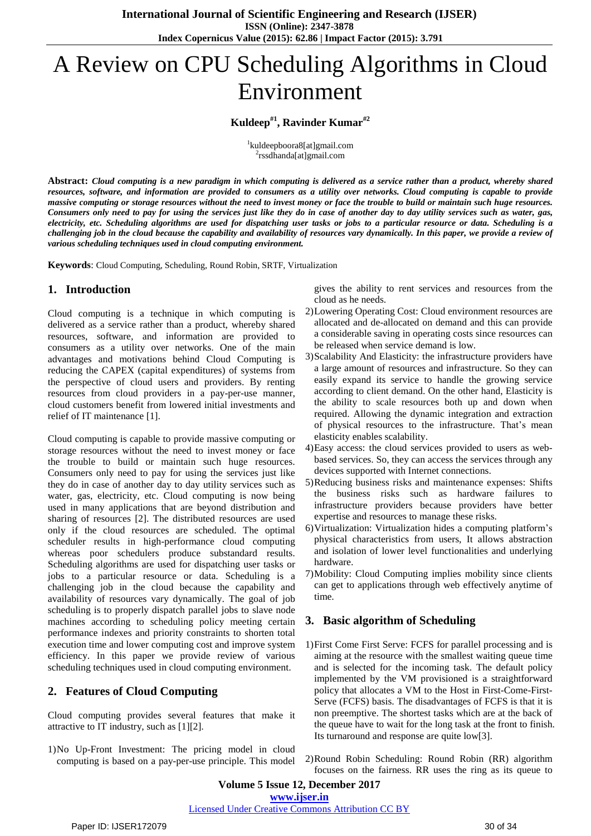# A Review on CPU Scheduling Algorithms in Cloud Environment

## **Kuldeep#1 , Ravinder Kumar#2**

1 kuldeepboora8[at]gmail.com 2 rssdhanda[at]gmail.com

Abstract: Cloud computing is a new paradigm in which computing is delivered as a service rather than a product, whereby shared resources, software, and information are provided to consumers as a utility over networks. Cloud computing is capable to provide massive computing or storage resources without the need to invest money or face the trouble to build or maintain such huge resources. Consumers only need to pay for using the services just like they do in case of another day to day utility services such as water, gas, electricity, etc. Scheduling algorithms are used for dispatching user tasks or jobs to a particular resource or data. Scheduling is a challenging job in the cloud because the capability and availability of resources vary dynamically. In this paper, we provide a review of *various scheduling techniques used in cloud computing environment.*

**Keywords**: Cloud Computing, Scheduling, Round Robin, SRTF, Virtualization

## **1. Introduction**

Cloud computing is a technique in which computing is delivered as a service rather than a product, whereby shared resources, software, and information are provided to consumers as a utility over networks. One of the main advantages and motivations behind Cloud Computing is reducing the CAPEX (capital expenditures) of systems from the perspective of cloud users and providers. By renting resources from cloud providers in a pay-per-use manner, cloud customers benefit from lowered initial investments and relief of IT maintenance [1].

Cloud computing is capable to provide massive computing or storage resources without the need to invest money or face the trouble to build or maintain such huge resources. Consumers only need to pay for using the services just like they do in case of another day to day utility services such as water, gas, electricity, etc. Cloud computing is now being used in many applications that are beyond distribution and sharing of resources [2]. The distributed resources are used only if the cloud resources are scheduled. The optimal scheduler results in high-performance cloud computing whereas poor schedulers produce substandard results. Scheduling algorithms are used for dispatching user tasks or jobs to a particular resource or data. Scheduling is a challenging job in the cloud because the capability and availability of resources vary dynamically. The goal of job scheduling is to properly dispatch parallel jobs to slave node machines according to scheduling policy meeting certain performance indexes and priority constraints to shorten total execution time and lower computing cost and improve system efficiency. In this paper we provide review of various scheduling techniques used in cloud computing environment.

## **2. Features of Cloud Computing**

Cloud computing provides several features that make it attractive to IT industry, such as [1][2].

1)No Up-Front Investment: The pricing model in cloud computing is based on a pay-per-use principle. This model

gives the ability to rent services and resources from the cloud as he needs.

- 2)Lowering Operating Cost: Cloud environment resources are allocated and de-allocated on demand and this can provide a considerable saving in operating costs since resources can be released when service demand is low.
- 3)Scalability And Elasticity: the infrastructure providers have a large amount of resources and infrastructure. So they can easily expand its service to handle the growing service according to client demand. On the other hand, Elasticity is the ability to scale resources both up and down when required. Allowing the dynamic integration and extraction of physical resources to the infrastructure. That's mean elasticity enables scalability.
- 4)Easy access: the cloud services provided to users as webbased services. So, they can access the services through any devices supported with Internet connections.
- 5)Reducing business risks and maintenance expenses: Shifts the business risks such as hardware failures to infrastructure providers because providers have better expertise and resources to manage these risks.
- 6)Virtualization: Virtualization hides a computing platform's physical characteristics from users, It allows abstraction and isolation of lower level functionalities and underlying hardware.
- 7)Mobility: Cloud Computing implies mobility since clients can get to applications through web effectively anytime of time.

## **3. Basic algorithm of Scheduling**

- 1)First Come First Serve: FCFS for parallel processing and is aiming at the resource with the smallest waiting queue time and is selected for the incoming task. The default policy implemented by the VM provisioned is a straightforward policy that allocates a VM to the Host in First-Come-First-Serve (FCFS) basis. The disadvantages of FCFS is that it is non preemptive. The shortest tasks which are at the back of the queue have to wait for the long task at the front to finish. Its turnaround and response are quite low[3].
- 2)Round Robin Scheduling: Round Robin (RR) algorithm focuses on the fairness. RR uses the ring as its queue to

**Volume 5 Issue 12, December 2017 [www.ijser.in](file:///G:\www.ijser.in\Documents\www.ijser.in)** [Licensed Under Creative Commons Attribution CC BY](http://creativecommons.org/licenses/by/4.0/)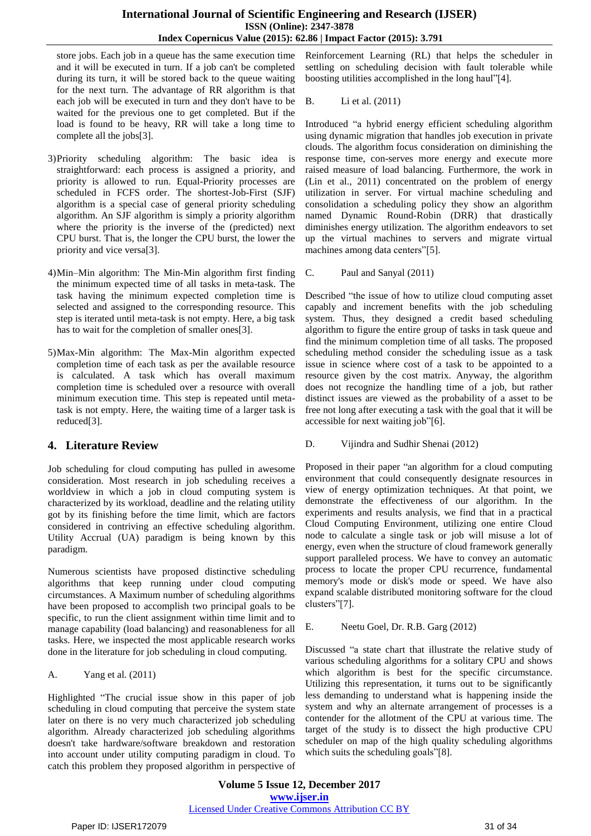#### **International Journal of Scientific Engineering and Research (IJSER) ISSN (Online): 2347-3878 Index Copernicus Value (2015): 62.86 | Impact Factor (2015): 3.791**

store jobs. Each job in a queue has the same execution time and it will be executed in turn. If a job can't be completed during its turn, it will be stored back to the queue waiting for the next turn. The advantage of RR algorithm is that each job will be executed in turn and they don't have to be waited for the previous one to get completed. But if the load is found to be heavy, RR will take a long time to complete all the jobs[3].

- 3)Priority scheduling algorithm: The basic idea is straightforward: each process is assigned a priority, and priority is allowed to run. Equal-Priority processes are scheduled in FCFS order. The shortest-Job-First (SJF) algorithm is a special case of general priority scheduling algorithm. An SJF algorithm is simply a priority algorithm where the priority is the inverse of the (predicted) next CPU burst. That is, the longer the CPU burst, the lower the priority and vice versa[3].
- 4)Min–Min algorithm: The Min-Min algorithm first finding the minimum expected time of all tasks in meta-task. The task having the minimum expected completion time is selected and assigned to the corresponding resource. This step is iterated until meta-task is not empty. Here, a big task has to wait for the completion of smaller ones[3].
- 5)Max-Min algorithm: The Max-Min algorithm expected completion time of each task as per the available resource is calculated. A task which has overall maximum completion time is scheduled over a resource with overall minimum execution time. This step is repeated until metatask is not empty. Here, the waiting time of a larger task is reduced[3].

## **4. Literature Review**

Job scheduling for cloud computing has pulled in awesome consideration. Most research in job scheduling receives a worldview in which a job in cloud computing system is characterized by its workload, deadline and the relating utility got by its finishing before the time limit, which are factors considered in contriving an effective scheduling algorithm. Utility Accrual (UA) paradigm is being known by this paradigm.

Numerous scientists have proposed distinctive scheduling algorithms that keep running under cloud computing circumstances. A Maximum number of scheduling algorithms have been proposed to accomplish two principal goals to be specific, to run the client assignment within time limit and to manage capability (load balancing) and reasonableness for all tasks. Here, we inspected the most applicable research works done in the literature for job scheduling in cloud computing.

A. Yang et al. (2011)

Highlighted "The crucial issue show in this paper of job scheduling in cloud computing that perceive the system state later on there is no very much characterized job scheduling algorithm. Already characterized job scheduling algorithms doesn't take hardware/software breakdown and restoration into account under utility computing paradigm in cloud. To catch this problem they proposed algorithm in perspective of

Reinforcement Learning (RL) that helps the scheduler in settling on scheduling decision with fault tolerable while boosting utilities accomplished in the long haul"[4].

B. Li et al. (2011)

Introduced "a hybrid energy efficient scheduling algorithm using dynamic migration that handles job execution in private clouds. The algorithm focus consideration on diminishing the response time, con-serves more energy and execute more raised measure of load balancing. Furthermore, the work in (Lin et al., 2011) concentrated on the problem of energy utilization in server. For virtual machine scheduling and consolidation a scheduling policy they show an algorithm named Dynamic Round-Robin (DRR) that drastically diminishes energy utilization. The algorithm endeavors to set up the virtual machines to servers and migrate virtual machines among data centers"[5].

C. Paul and Sanyal (2011)

Described "the issue of how to utilize cloud computing asset capably and increment benefits with the job scheduling system. Thus, they designed a credit based scheduling algorithm to figure the entire group of tasks in task queue and find the minimum completion time of all tasks. The proposed scheduling method consider the scheduling issue as a task issue in science where cost of a task to be appointed to a resource given by the cost matrix. Anyway, the algorithm does not recognize the handling time of a job, but rather distinct issues are viewed as the probability of a asset to be free not long after executing a task with the goal that it will be accessible for next waiting job"[6].

### D. Vijindra and Sudhir Shenai (2012)

Proposed in their paper "an algorithm for a cloud computing environment that could consequently designate resources in view of energy optimization techniques. At that point, we demonstrate the effectiveness of our algorithm. In the experiments and results analysis, we find that in a practical Cloud Computing Environment, utilizing one entire Cloud node to calculate a single task or job will misuse a lot of energy, even when the structure of cloud framework generally support paralleled process. We have to convey an automatic process to locate the proper CPU recurrence, fundamental memory's mode or disk's mode or speed. We have also expand scalable distributed monitoring software for the cloud clusters"[7].

E. Neetu Goel, Dr. R.B. Garg (2012)

Discussed "a state chart that illustrate the relative study of various scheduling algorithms for a solitary CPU and shows which algorithm is best for the specific circumstance. Utilizing this representation, it turns out to be significantly less demanding to understand what is happening inside the system and why an alternate arrangement of processes is a contender for the allotment of the CPU at various time. The target of the study is to dissect the high productive CPU scheduler on map of the high quality scheduling algorithms which suits the scheduling goals"[8].

**Volume 5 Issue 12, December 2017 [www.ijser.in](file:///G:\www.ijser.in\Documents\www.ijser.in)** [Licensed Under Creative Commons Attribution CC BY](http://creativecommons.org/licenses/by/4.0/)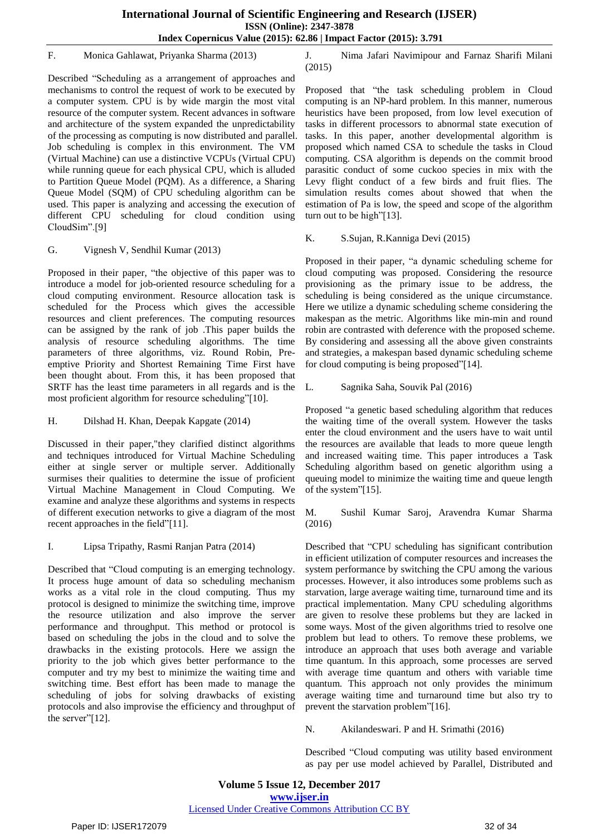#### F. Monica Gahlawat, Priyanka Sharma (2013)

Described "Scheduling as a arrangement of approaches and mechanisms to control the request of work to be executed by a computer system. CPU is by wide margin the most vital resource of the computer system. Recent advances in software and architecture of the system expanded the unpredictability of the processing as computing is now distributed and parallel. Job scheduling is complex in this environment. The VM (Virtual Machine) can use a distinctive VCPUs (Virtual CPU) while running queue for each physical CPU, which is alluded to Partition Queue Model (PQM). As a difference, a Sharing Queue Model (SQM) of CPU scheduling algorithm can be used. This paper is analyzing and accessing the execution of different CPU scheduling for cloud condition using CloudSim".[9]

#### G. Vignesh V, Sendhil Kumar (2013)

Proposed in their paper, "the objective of this paper was to introduce a model for job-oriented resource scheduling for a cloud computing environment. Resource allocation task is scheduled for the Process which gives the accessible resources and client preferences. The computing resources can be assigned by the rank of job .This paper builds the analysis of resource scheduling algorithms. The time parameters of three algorithms, viz. Round Robin, Preemptive Priority and Shortest Remaining Time First have been thought about. From this, it has been proposed that SRTF has the least time parameters in all regards and is the most proficient algorithm for resource scheduling"[10].

H. Dilshad H. Khan, Deepak Kapgate (2014)

Discussed in their paper,"they clarified distinct algorithms and techniques introduced for Virtual Machine Scheduling either at single server or multiple server. Additionally surmises their qualities to determine the issue of proficient Virtual Machine Management in Cloud Computing. We examine and analyze these algorithms and systems in respects of different execution networks to give a diagram of the most recent approaches in the field"[11].

I. Lipsa Tripathy, Rasmi Ranjan Patra (2014)

Described that "Cloud computing is an emerging technology. It process huge amount of data so scheduling mechanism works as a vital role in the cloud computing. Thus my protocol is designed to minimize the switching time, improve the resource utilization and also improve the server performance and throughput. This method or protocol is based on scheduling the jobs in the cloud and to solve the drawbacks in the existing protocols. Here we assign the priority to the job which gives better performance to the computer and try my best to minimize the waiting time and switching time. Best effort has been made to manage the scheduling of jobs for solving drawbacks of existing protocols and also improvise the efficiency and throughput of the server"[12].

J. Nima Jafari Navimipour and Farnaz Sharifi Milani (2015)

Proposed that "the task scheduling problem in Cloud computing is an NP-hard problem. In this manner, numerous heuristics have been proposed, from low level execution of tasks in different processors to abnormal state execution of tasks. In this paper, another developmental algorithm is proposed which named CSA to schedule the tasks in Cloud computing. CSA algorithm is depends on the commit brood parasitic conduct of some cuckoo species in mix with the Levy flight conduct of a few birds and fruit flies. The simulation results comes about showed that when the estimation of Pa is low, the speed and scope of the algorithm turn out to be high"[13].

## K. S.Sujan, R.Kanniga Devi (2015)

Proposed in their paper, "a dynamic scheduling scheme for cloud computing was proposed. Considering the resource provisioning as the primary issue to be address, the scheduling is being considered as the unique circumstance. Here we utilize a dynamic scheduling scheme considering the makespan as the metric. Algorithms like min-min and round robin are contrasted with deference with the proposed scheme. By considering and assessing all the above given constraints and strategies, a makespan based dynamic scheduling scheme for cloud computing is being proposed"[14].

L. Sagnika Saha, Souvik Pal (2016)

Proposed "a genetic based scheduling algorithm that reduces the waiting time of the overall system. However the tasks enter the cloud environment and the users have to wait until the resources are available that leads to more queue length and increased waiting time. This paper introduces a Task Scheduling algorithm based on genetic algorithm using a queuing model to minimize the waiting time and queue length of the system"[15].

M. Sushil Kumar Saroj, Aravendra Kumar Sharma (2016)

Described that "CPU scheduling has significant contribution in efficient utilization of computer resources and increases the system performance by switching the CPU among the various processes. However, it also introduces some problems such as starvation, large average waiting time, turnaround time and its practical implementation. Many CPU scheduling algorithms are given to resolve these problems but they are lacked in some ways. Most of the given algorithms tried to resolve one problem but lead to others. To remove these problems, we introduce an approach that uses both average and variable time quantum. In this approach, some processes are served with average time quantum and others with variable time quantum. This approach not only provides the minimum average waiting time and turnaround time but also try to prevent the starvation problem"[16].

N. Akilandeswari. P and H. Srimathi (2016)

Described "Cloud computing was utility based environment as pay per use model achieved by Parallel, Distributed and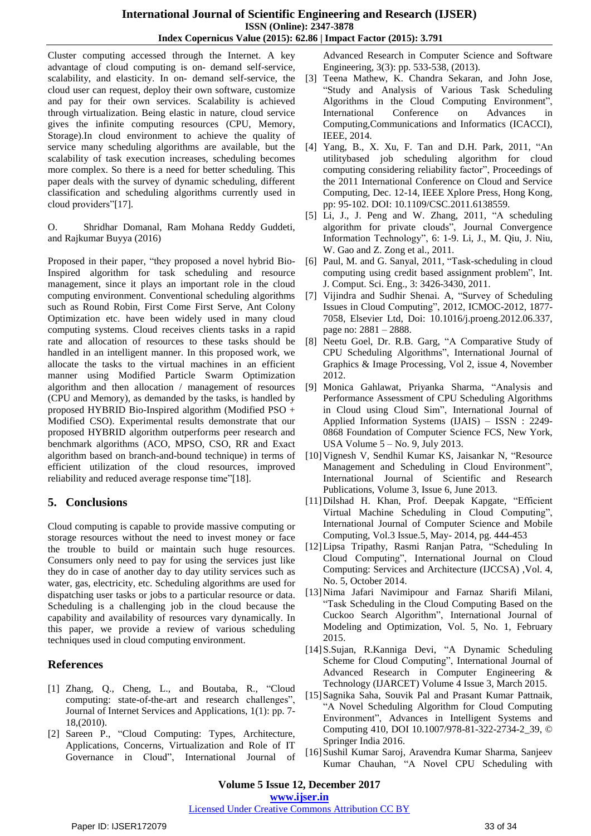Cluster computing accessed through the Internet. A key advantage of cloud computing is on- demand self-service, scalability, and elasticity. In on- demand self-service, the cloud user can request, deploy their own software, customize and pay for their own services. Scalability is achieved through virtualization. Being elastic in nature, cloud service gives the infinite computing resources (CPU, Memory, Storage).In cloud environment to achieve the quality of service many scheduling algorithms are available, but the scalability of task execution increases, scheduling becomes more complex. So there is a need for better scheduling. This paper deals with the survey of dynamic scheduling, different classification and scheduling algorithms currently used in cloud providers"[17].

O. Shridhar Domanal, Ram Mohana Reddy Guddeti, and Rajkumar Buyya (2016)

Proposed in their paper, "they proposed a novel hybrid Bio-Inspired algorithm for task scheduling and resource management, since it plays an important role in the cloud computing environment. Conventional scheduling algorithms such as Round Robin, First Come First Serve, Ant Colony Optimization etc. have been widely used in many cloud computing systems. Cloud receives clients tasks in a rapid rate and allocation of resources to these tasks should be handled in an intelligent manner. In this proposed work, we allocate the tasks to the virtual machines in an efficient manner using Modified Particle Swarm Optimization algorithm and then allocation / management of resources (CPU and Memory), as demanded by the tasks, is handled by proposed HYBRID Bio-Inspired algorithm (Modified PSO + Modified CSO). Experimental results demonstrate that our proposed HYBRID algorithm outperforms peer research and benchmark algorithms (ACO, MPSO, CSO, RR and Exact algorithm based on branch-and-bound technique) in terms of efficient utilization of the cloud resources, improved reliability and reduced average response time"[18].

## **5. Conclusions**

Cloud computing is capable to provide massive computing or storage resources without the need to invest money or face the trouble to build or maintain such huge resources. Consumers only need to pay for using the services just like they do in case of another day to day utility services such as water, gas, electricity, etc. Scheduling algorithms are used for dispatching user tasks or jobs to a particular resource or data. Scheduling is a challenging job in the cloud because the capability and availability of resources vary dynamically. In this paper, we provide a review of various scheduling techniques used in cloud computing environment.

# **References**

- [1] Zhang, Q., Cheng, L., and Boutaba, R., "Cloud computing: state-of-the-art and research challenges", Journal of Internet Services and Applications, 1(1): pp. 7- 18,(2010).
- [2] Sareen P., "Cloud Computing: Types, Architecture, Applications, Concerns, Virtualization and Role of IT Governance in Cloud", International Journal of

Advanced Research in Computer Science and Software Engineering, 3(3): pp. 533-538, (2013).

- [3] Teena Mathew, K. Chandra Sekaran, and John Jose, "Study and Analysis of Various Task Scheduling Algorithms in the Cloud Computing Environment", International Conference on Advances in Computing,Communications and Informatics (ICACCI), IEEE, 2014.
- [4] Yang, B., X. Xu, F. Tan and D.H. Park, 2011, "An utilitybased job scheduling algorithm for cloud computing considering reliability factor", Proceedings of the 2011 International Conference on Cloud and Service Computing, Dec. 12-14, IEEE Xplore Press, Hong Kong, pp: 95-102. DOI: 10.1109/CSC.2011.6138559.
- [5] Li, J., J. Peng and W. Zhang, 2011, "A scheduling algorithm for private clouds", Journal Convergence Information Technology", 6: 1-9. Li, J., M. Qiu, J. Niu, W. Gao and Z. Zong et al., 2011.
- [6] Paul, M. and G. Sanyal, 2011, "Task-scheduling in cloud computing using credit based assignment problem", Int. J. Comput. Sci. Eng., 3: 3426-3430, 2011.
- [7] Vijindra and Sudhir Shenai. A, "Survey of Scheduling Issues in Cloud Computing", 2012, ICMOC-2012, 1877- 7058, Elsevier Ltd, Doi: 10.1016/j.proeng.2012.06.337, page no: 2881 – 2888.
- [8] Neetu Goel, Dr. R.B. Garg, "A Comparative Study of CPU Scheduling Algorithms", International Journal of Graphics & Image Processing, Vol 2, issue 4, November 2012.
- [9] Monica Gahlawat, Priyanka Sharma, "Analysis and Performance Assessment of CPU Scheduling Algorithms in Cloud using Cloud Sim", International Journal of Applied Information Systems (IJAIS) – ISSN : 2249- 0868 Foundation of Computer Science FCS, New York, USA Volume 5 – No. 9, July 2013.
- [10]Vignesh V, Sendhil Kumar KS, Jaisankar N, "Resource Management and Scheduling in Cloud Environment", International Journal of Scientific and Research Publications, Volume 3, Issue 6, June 2013.
- [11]Dilshad H. Khan, Prof. Deepak Kapgate, "Efficient Virtual Machine Scheduling in Cloud Computing", International Journal of Computer Science and Mobile Computing, Vol.3 Issue.5, May- 2014, pg. 444-453
- [12]Lipsa Tripathy, Rasmi Ranjan Patra, "Scheduling In Cloud Computing", International Journal on Cloud Computing: Services and Architecture (IJCCSA) ,Vol. 4, No. 5, October 2014.
- [13]Nima Jafari Navimipour and Farnaz Sharifi Milani, "Task Scheduling in the Cloud Computing Based on the Cuckoo Search Algorithm", International Journal of Modeling and Optimization, Vol. 5, No. 1, February 2015.
- [14]S.Sujan, R.Kanniga Devi, "A Dynamic Scheduling Scheme for Cloud Computing", International Journal of Advanced Research in Computer Engineering & Technology (IJARCET) Volume 4 Issue 3, March 2015.
- [15]Sagnika Saha, Souvik Pal and Prasant Kumar Pattnaik, "A Novel Scheduling Algorithm for Cloud Computing Environment", Advances in Intelligent Systems and Computing 410, DOI 10.1007/978-81-322-2734-2\_39, © Springer India 2016.
- [16]Sushil Kumar Saroj, Aravendra Kumar Sharma, Sanjeev Kumar Chauhan, "A Novel CPU Scheduling with